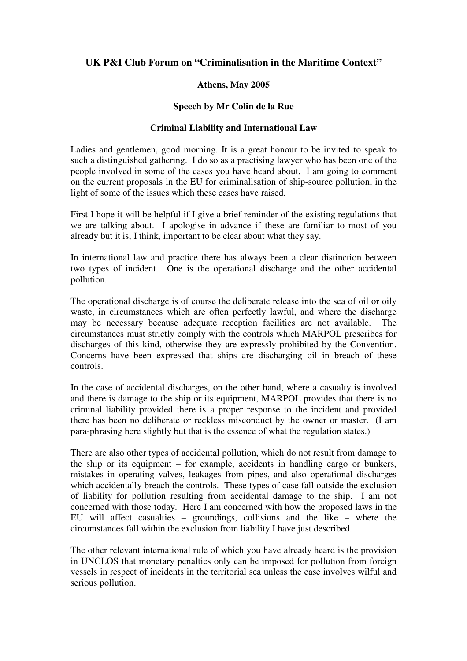## **UK P&I Club Forum on "Criminalisation in the Maritime Context"**

## **Athens, May 2005**

## **Speech by Mr Colin de la Rue**

## **Criminal Liability and International Law**

Ladies and gentlemen, good morning. It is a great honour to be invited to speak to such a distinguished gathering. I do so as a practising lawyer who has been one of the people involved in some of the cases you have heard about. I am going to comment on the current proposals in the EU for criminalisation of ship-source pollution, in the light of some of the issues which these cases have raised.

First I hope it will be helpful if I give a brief reminder of the existing regulations that we are talking about. I apologise in advance if these are familiar to most of you already but it is, I think, important to be clear about what they say.

In international law and practice there has always been a clear distinction between two types of incident. One is the operational discharge and the other accidental pollution.

The operational discharge is of course the deliberate release into the sea of oil or oily waste, in circumstances which are often perfectly lawful, and where the discharge may be necessary because adequate reception facilities are not available. The circumstances must strictly comply with the controls which MARPOL prescribes for discharges of this kind, otherwise they are expressly prohibited by the Convention. Concerns have been expressed that ships are discharging oil in breach of these controls.

In the case of accidental discharges, on the other hand, where a casualty is involved and there is damage to the ship or its equipment, MARPOL provides that there is no criminal liability provided there is a proper response to the incident and provided there has been no deliberate or reckless misconduct by the owner or master. (I am para-phrasing here slightly but that is the essence of what the regulation states.)

There are also other types of accidental pollution, which do not result from damage to the ship or its equipment – for example, accidents in handling cargo or bunkers, mistakes in operating valves, leakages from pipes, and also operational discharges which accidentally breach the controls. These types of case fall outside the exclusion of liability for pollution resulting from accidental damage to the ship. I am not concerned with those today. Here I am concerned with how the proposed laws in the EU will affect casualties – groundings, collisions and the like – where the circumstances fall within the exclusion from liability I have just described.

The other relevant international rule of which you have already heard is the provision in UNCLOS that monetary penalties only can be imposed for pollution from foreign vessels in respect of incidents in the territorial sea unless the case involves wilful and serious pollution.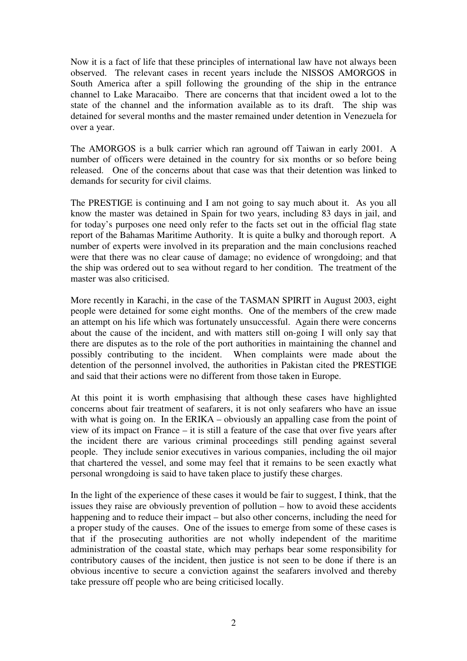Now it is a fact of life that these principles of international law have not always been observed. The relevant cases in recent years include the NISSOS AMORGOS in South America after a spill following the grounding of the ship in the entrance channel to Lake Maracaibo. There are concerns that that incident owed a lot to the state of the channel and the information available as to its draft. The ship was detained for several months and the master remained under detention in Venezuela for over a year.

The AMORGOS is a bulk carrier which ran aground off Taiwan in early 2001. A number of officers were detained in the country for six months or so before being released. One of the concerns about that case was that their detention was linked to demands for security for civil claims.

The PRESTIGE is continuing and I am not going to say much about it. As you all know the master was detained in Spain for two years, including 83 days in jail, and for today's purposes one need only refer to the facts set out in the official flag state report of the Bahamas Maritime Authority. It is quite a bulky and thorough report. A number of experts were involved in its preparation and the main conclusions reached were that there was no clear cause of damage; no evidence of wrongdoing; and that the ship was ordered out to sea without regard to her condition. The treatment of the master was also criticised.

More recently in Karachi, in the case of the TASMAN SPIRIT in August 2003, eight people were detained for some eight months. One of the members of the crew made an attempt on his life which was fortunately unsuccessful. Again there were concerns about the cause of the incident, and with matters still on-going I will only say that there are disputes as to the role of the port authorities in maintaining the channel and possibly contributing to the incident. When complaints were made about the detention of the personnel involved, the authorities in Pakistan cited the PRESTIGE and said that their actions were no different from those taken in Europe.

At this point it is worth emphasising that although these cases have highlighted concerns about fair treatment of seafarers, it is not only seafarers who have an issue with what is going on. In the ERIKA – obviously an appalling case from the point of view of its impact on France – it is still a feature of the case that over five years after the incident there are various criminal proceedings still pending against several people. They include senior executives in various companies, including the oil major that chartered the vessel, and some may feel that it remains to be seen exactly what personal wrongdoing is said to have taken place to justify these charges.

In the light of the experience of these cases it would be fair to suggest, I think, that the issues they raise are obviously prevention of pollution – how to avoid these accidents happening and to reduce their impact – but also other concerns, including the need for a proper study of the causes. One of the issues to emerge from some of these cases is that if the prosecuting authorities are not wholly independent of the maritime administration of the coastal state, which may perhaps bear some responsibility for contributory causes of the incident, then justice is not seen to be done if there is an obvious incentive to secure a conviction against the seafarers involved and thereby take pressure off people who are being criticised locally.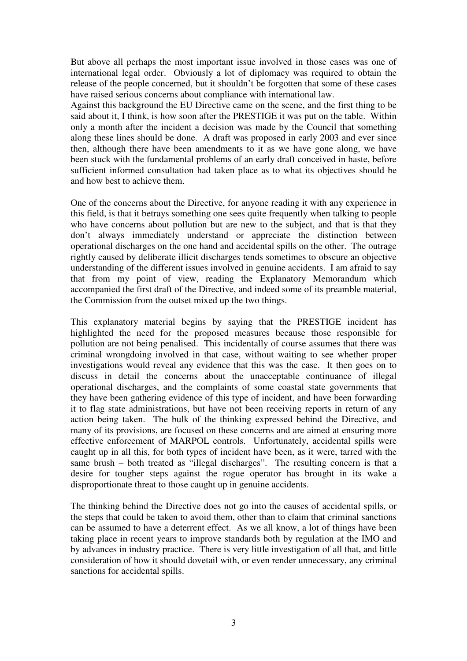But above all perhaps the most important issue involved in those cases was one of international legal order. Obviously a lot of diplomacy was required to obtain the release of the people concerned, but it shouldn't be forgotten that some of these cases have raised serious concerns about compliance with international law.

Against this background the EU Directive came on the scene, and the first thing to be said about it, I think, is how soon after the PRESTIGE it was put on the table. Within only a month after the incident a decision was made by the Council that something along these lines should be done. A draft was proposed in early 2003 and ever since then, although there have been amendments to it as we have gone along, we have been stuck with the fundamental problems of an early draft conceived in haste, before sufficient informed consultation had taken place as to what its objectives should be and how best to achieve them.

One of the concerns about the Directive, for anyone reading it with any experience in this field, is that it betrays something one sees quite frequently when talking to people who have concerns about pollution but are new to the subject, and that is that they don't always immediately understand or appreciate the distinction between operational discharges on the one hand and accidental spills on the other. The outrage rightly caused by deliberate illicit discharges tends sometimes to obscure an objective understanding of the different issues involved in genuine accidents. I am afraid to say that from my point of view, reading the Explanatory Memorandum which accompanied the first draft of the Directive, and indeed some of its preamble material, the Commission from the outset mixed up the two things.

This explanatory material begins by saying that the PRESTIGE incident has highlighted the need for the proposed measures because those responsible for pollution are not being penalised. This incidentally of course assumes that there was criminal wrongdoing involved in that case, without waiting to see whether proper investigations would reveal any evidence that this was the case. It then goes on to discuss in detail the concerns about the unacceptable continuance of illegal operational discharges, and the complaints of some coastal state governments that they have been gathering evidence of this type of incident, and have been forwarding it to flag state administrations, but have not been receiving reports in return of any action being taken. The bulk of the thinking expressed behind the Directive, and many of its provisions, are focused on these concerns and are aimed at ensuring more effective enforcement of MARPOL controls. Unfortunately, accidental spills were caught up in all this, for both types of incident have been, as it were, tarred with the same brush – both treated as "illegal discharges". The resulting concern is that a desire for tougher steps against the rogue operator has brought in its wake a disproportionate threat to those caught up in genuine accidents.

The thinking behind the Directive does not go into the causes of accidental spills, or the steps that could be taken to avoid them, other than to claim that criminal sanctions can be assumed to have a deterrent effect. As we all know, a lot of things have been taking place in recent years to improve standards both by regulation at the IMO and by advances in industry practice. There is very little investigation of all that, and little consideration of how it should dovetail with, or even render unnecessary, any criminal sanctions for accidental spills.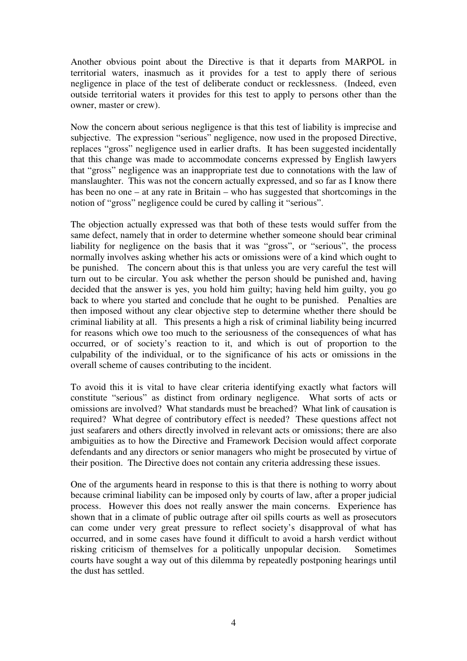Another obvious point about the Directive is that it departs from MARPOL in territorial waters, inasmuch as it provides for a test to apply there of serious negligence in place of the test of deliberate conduct or recklessness. (Indeed, even outside territorial waters it provides for this test to apply to persons other than the owner, master or crew).

Now the concern about serious negligence is that this test of liability is imprecise and subjective. The expression "serious" negligence, now used in the proposed Directive, replaces "gross" negligence used in earlier drafts. It has been suggested incidentally that this change was made to accommodate concerns expressed by English lawyers that "gross" negligence was an inappropriate test due to connotations with the law of manslaughter. This was not the concern actually expressed, and so far as I know there has been no one – at any rate in Britain – who has suggested that shortcomings in the notion of "gross" negligence could be cured by calling it "serious".

The objection actually expressed was that both of these tests would suffer from the same defect, namely that in order to determine whether someone should bear criminal liability for negligence on the basis that it was "gross", or "serious", the process normally involves asking whether his acts or omissions were of a kind which ought to be punished. The concern about this is that unless you are very careful the test will turn out to be circular. You ask whether the person should be punished and, having decided that the answer is yes, you hold him guilty; having held him guilty, you go back to where you started and conclude that he ought to be punished. Penalties are then imposed without any clear objective step to determine whether there should be criminal liability at all. This presents a high a risk of criminal liability being incurred for reasons which owe too much to the seriousness of the consequences of what has occurred, or of society's reaction to it, and which is out of proportion to the culpability of the individual, or to the significance of his acts or omissions in the overall scheme of causes contributing to the incident.

To avoid this it is vital to have clear criteria identifying exactly what factors will constitute "serious" as distinct from ordinary negligence. What sorts of acts or omissions are involved? What standards must be breached? What link of causation is required? What degree of contributory effect is needed? These questions affect not just seafarers and others directly involved in relevant acts or omissions; there are also ambiguities as to how the Directive and Framework Decision would affect corporate defendants and any directors or senior managers who might be prosecuted by virtue of their position. The Directive does not contain any criteria addressing these issues.

One of the arguments heard in response to this is that there is nothing to worry about because criminal liability can be imposed only by courts of law, after a proper judicial process. However this does not really answer the main concerns. Experience has shown that in a climate of public outrage after oil spills courts as well as prosecutors can come under very great pressure to reflect society's disapproval of what has occurred, and in some cases have found it difficult to avoid a harsh verdict without risking criticism of themselves for a politically unpopular decision. Sometimes courts have sought a way out of this dilemma by repeatedly postponing hearings until the dust has settled.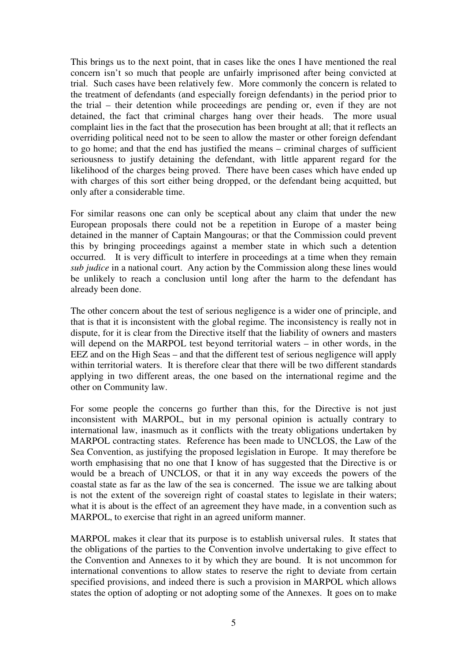This brings us to the next point, that in cases like the ones I have mentioned the real concern isn't so much that people are unfairly imprisoned after being convicted at trial. Such cases have been relatively few. More commonly the concern is related to the treatment of defendants (and especially foreign defendants) in the period prior to the trial – their detention while proceedings are pending or, even if they are not detained, the fact that criminal charges hang over their heads. The more usual complaint lies in the fact that the prosecution has been brought at all; that it reflects an overriding political need not to be seen to allow the master or other foreign defendant to go home; and that the end has justified the means – criminal charges of sufficient seriousness to justify detaining the defendant, with little apparent regard for the likelihood of the charges being proved. There have been cases which have ended up with charges of this sort either being dropped, or the defendant being acquitted, but only after a considerable time.

For similar reasons one can only be sceptical about any claim that under the new European proposals there could not be a repetition in Europe of a master being detained in the manner of Captain Mangouras; or that the Commission could prevent this by bringing proceedings against a member state in which such a detention occurred. It is very difficult to interfere in proceedings at a time when they remain *sub judice* in a national court. Any action by the Commission along these lines would be unlikely to reach a conclusion until long after the harm to the defendant has already been done.

The other concern about the test of serious negligence is a wider one of principle, and that is that it is inconsistent with the global regime. The inconsistency is really not in dispute, for it is clear from the Directive itself that the liability of owners and masters will depend on the MARPOL test beyond territorial waters – in other words, in the EEZ and on the High Seas – and that the different test of serious negligence will apply within territorial waters. It is therefore clear that there will be two different standards applying in two different areas, the one based on the international regime and the other on Community law.

For some people the concerns go further than this, for the Directive is not just inconsistent with MARPOL, but in my personal opinion is actually contrary to international law, inasmuch as it conflicts with the treaty obligations undertaken by MARPOL contracting states. Reference has been made to UNCLOS, the Law of the Sea Convention, as justifying the proposed legislation in Europe. It may therefore be worth emphasising that no one that I know of has suggested that the Directive is or would be a breach of UNCLOS, or that it in any way exceeds the powers of the coastal state as far as the law of the sea is concerned. The issue we are talking about is not the extent of the sovereign right of coastal states to legislate in their waters; what it is about is the effect of an agreement they have made, in a convention such as MARPOL, to exercise that right in an agreed uniform manner.

MARPOL makes it clear that its purpose is to establish universal rules. It states that the obligations of the parties to the Convention involve undertaking to give effect to the Convention and Annexes to it by which they are bound. It is not uncommon for international conventions to allow states to reserve the right to deviate from certain specified provisions, and indeed there is such a provision in MARPOL which allows states the option of adopting or not adopting some of the Annexes. It goes on to make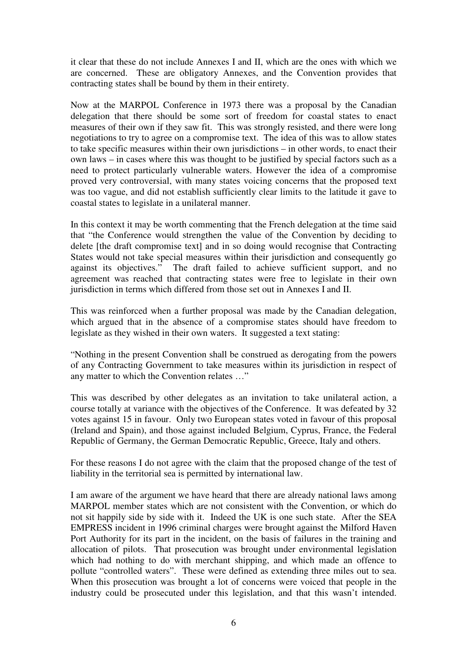it clear that these do not include Annexes I and II, which are the ones with which we are concerned. These are obligatory Annexes, and the Convention provides that contracting states shall be bound by them in their entirety.

Now at the MARPOL Conference in 1973 there was a proposal by the Canadian delegation that there should be some sort of freedom for coastal states to enact measures of their own if they saw fit. This was strongly resisted, and there were long negotiations to try to agree on a compromise text. The idea of this was to allow states to take specific measures within their own jurisdictions – in other words, to enact their own laws – in cases where this was thought to be justified by special factors such as a need to protect particularly vulnerable waters. However the idea of a compromise proved very controversial, with many states voicing concerns that the proposed text was too vague, and did not establish sufficiently clear limits to the latitude it gave to coastal states to legislate in a unilateral manner.

In this context it may be worth commenting that the French delegation at the time said that "the Conference would strengthen the value of the Convention by deciding to delete [the draft compromise text] and in so doing would recognise that Contracting States would not take special measures within their jurisdiction and consequently go against its objectives." The draft failed to achieve sufficient support, and no agreement was reached that contracting states were free to legislate in their own jurisdiction in terms which differed from those set out in Annexes I and II.

This was reinforced when a further proposal was made by the Canadian delegation, which argued that in the absence of a compromise states should have freedom to legislate as they wished in their own waters. It suggested a text stating:

"Nothing in the present Convention shall be construed as derogating from the powers of any Contracting Government to take measures within its jurisdiction in respect of any matter to which the Convention relates …"

This was described by other delegates as an invitation to take unilateral action, a course totally at variance with the objectives of the Conference. It was defeated by 32 votes against 15 in favour. Only two European states voted in favour of this proposal (Ireland and Spain), and those against included Belgium, Cyprus, France, the Federal Republic of Germany, the German Democratic Republic, Greece, Italy and others.

For these reasons I do not agree with the claim that the proposed change of the test of liability in the territorial sea is permitted by international law.

I am aware of the argument we have heard that there are already national laws among MARPOL member states which are not consistent with the Convention, or which do not sit happily side by side with it. Indeed the UK is one such state. After the SEA EMPRESS incident in 1996 criminal charges were brought against the Milford Haven Port Authority for its part in the incident, on the basis of failures in the training and allocation of pilots. That prosecution was brought under environmental legislation which had nothing to do with merchant shipping, and which made an offence to pollute "controlled waters". These were defined as extending three miles out to sea. When this prosecution was brought a lot of concerns were voiced that people in the industry could be prosecuted under this legislation, and that this wasn't intended.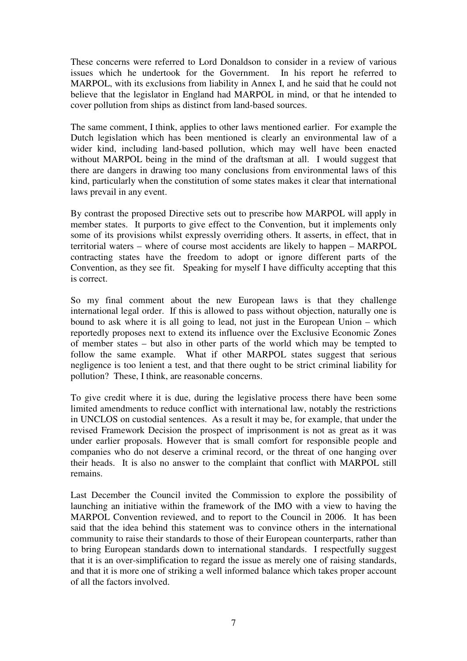These concerns were referred to Lord Donaldson to consider in a review of various issues which he undertook for the Government. In his report he referred to MARPOL, with its exclusions from liability in Annex I, and he said that he could not believe that the legislator in England had MARPOL in mind, or that he intended to cover pollution from ships as distinct from land-based sources.

The same comment, I think, applies to other laws mentioned earlier. For example the Dutch legislation which has been mentioned is clearly an environmental law of a wider kind, including land-based pollution, which may well have been enacted without MARPOL being in the mind of the draftsman at all. I would suggest that there are dangers in drawing too many conclusions from environmental laws of this kind, particularly when the constitution of some states makes it clear that international laws prevail in any event.

By contrast the proposed Directive sets out to prescribe how MARPOL will apply in member states. It purports to give effect to the Convention, but it implements only some of its provisions whilst expressly overriding others. It asserts, in effect, that in territorial waters – where of course most accidents are likely to happen – MARPOL contracting states have the freedom to adopt or ignore different parts of the Convention, as they see fit. Speaking for myself I have difficulty accepting that this is correct.

So my final comment about the new European laws is that they challenge international legal order. If this is allowed to pass without objection, naturally one is bound to ask where it is all going to lead, not just in the European Union – which reportedly proposes next to extend its influence over the Exclusive Economic Zones of member states – but also in other parts of the world which may be tempted to follow the same example. What if other MARPOL states suggest that serious negligence is too lenient a test, and that there ought to be strict criminal liability for pollution? These, I think, are reasonable concerns.

To give credit where it is due, during the legislative process there have been some limited amendments to reduce conflict with international law, notably the restrictions in UNCLOS on custodial sentences. As a result it may be, for example, that under the revised Framework Decision the prospect of imprisonment is not as great as it was under earlier proposals. However that is small comfort for responsible people and companies who do not deserve a criminal record, or the threat of one hanging over their heads. It is also no answer to the complaint that conflict with MARPOL still remains.

Last December the Council invited the Commission to explore the possibility of launching an initiative within the framework of the IMO with a view to having the MARPOL Convention reviewed, and to report to the Council in 2006. It has been said that the idea behind this statement was to convince others in the international community to raise their standards to those of their European counterparts, rather than to bring European standards down to international standards. I respectfully suggest that it is an over-simplification to regard the issue as merely one of raising standards, and that it is more one of striking a well informed balance which takes proper account of all the factors involved.